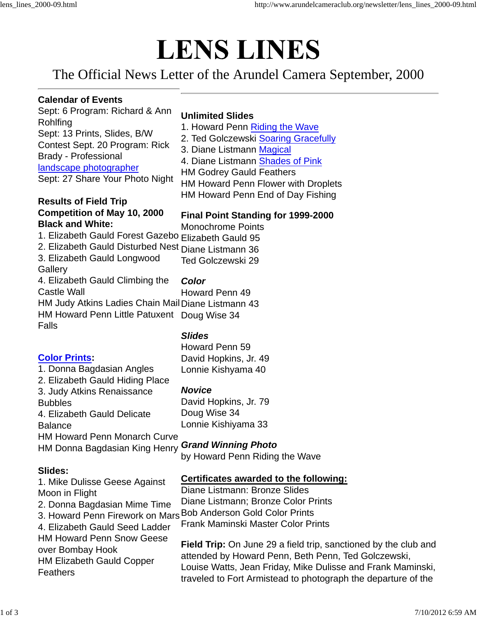# **LENS LINES**

The Official News Letter of the Arundel Camera September, 2000

#### **Calendar of Events**

Sept: 6 Program: Richard & Ann Rohlfing Sept: 13 Prints, Slides, B/W Contest Sept. 20 Program: Rick Brady - Professional landscape photographer Sept: 27 Share Your Photo Night

## **Unlimited Slides**

- 1. Howard Penn Riding the Wave
- 2. Ted Golczewski Soaring Gracefully
- 3. Diane Listmann Magical
- 4. Diane Listmann Shades of Pink
- HM Godrey Gauld Feathers
- HM Howard Penn Flower with Droplets
- HM Howard Penn End of Day Fishing

#### **Results of Field Trip Competition of May 10, 2000 Black and White:**

# **Final Point Standing for 1999-2000**

1. Elizabeth Gauld Forest Gazebo Elizabeth Gauld 95 Monochrome Points

- 2. Elizabeth Gauld Disturbed Nest Diane Listmann 36
- 3. Elizabeth Gauld Longwood Ted Golczewski 29

#### **Gallery** 4. Elizabeth Gauld Climbing the

# *Color*

Castle Wall HM Judy Atkins Ladies Chain Mail Diane Listmann 43 HM Howard Penn Little Patuxent Doug Wise 34 Falls Howard Penn 49

## *Slides*

**Color Prints:**

#### 1. Donna Bagdasian Angles 2. Elizabeth Gauld Hiding Place 3. Judy Atkins Renaissance Bubbles 4. Elizabeth Gauld Delicate Balance

*Novice* David Hopkins, Jr. 79 Doug Wise 34 Lonnie Kishiyama 33

Howard Penn 59 David Hopkins, Jr. 49 Lonnie Kishyama 40

# HM Howard Penn Monarch Curve

#### HM Donna Bagdasian King Henry *Grand Winning Photo*

by Howard Penn Riding the Wave

# **Slides:**

#### 1. Mike Dulisse Geese Against Moon in Flight 2. Donna Bagdasian Mime Time 3. Howard Penn Firework on Mars 4. Elizabeth Gauld Seed Ladder HM Howard Penn Snow Geese over Bombay Hook HM Elizabeth Gauld Copper Feathers **Certificates awarded to the following:** Diane Listmann: Bronze Slides Diane Listmann; Bronze Color Prints Bob Anderson Gold Color Prints Frank Maminski Master Color Prints **Field Trip:** On June 29 a field trip, sanctioned by the club and attended by Howard Penn, Beth Penn, Ted Golczewski, Louise Watts, Jean Friday, Mike Dulisse and Frank Maminski, traveled to Fort Armistead to photograph the departure of the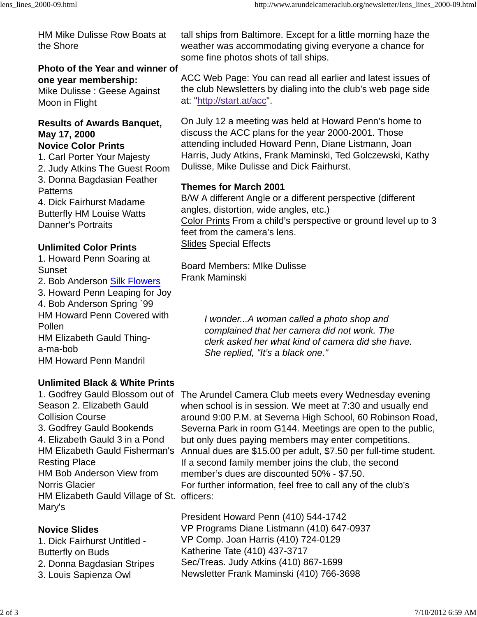HM Mike Dulisse Row Boats at the Shore **Photo of the Year and winner of one year membership:** Mike Dulisse : Geese Against Moon in Flight **Results of Awards Banquet, May 17, 2000 Novice Color Prints** 1. Carl Porter Your Majesty 2. Judy Atkins The Guest Room 3. Donna Bagdasian Feather **Patterns** 4. Dick Fairhurst Madame Butterfly HM Louise Watts Danner's Portraits **Unlimited Color Prints** tall ships from Baltimore. Except for a little morning haze the weather was accommodating giving everyone a chance for some fine photos shots of tall ships. ACC Web Page: You can read all earlier and latest issues of the club Newsletters by dialing into the club's web page side at: "http://start.at/acc". On July 12 a meeting was held at Howard Penn's home to discuss the ACC plans for the year 2000-2001. Those attending included Howard Penn, Diane Listmann, Joan Harris, Judy Atkins, Frank Maminski, Ted Golczewski, Kathy Dulisse, Mike Dulisse and Dick Fairhurst. **Themes for March 2001** B/W A different Angle or a different perspective (different angles, distortion, wide angles, etc.) Color Prints From a child's perspective or ground level up to 3 feet from the camera's lens. Slides Special Effects

#### Board Members: MIke Dulisse Frank Maminski

*I wonder...A woman called a photo shop and complained that her camera did not work. The clerk asked her what kind of camera did she have. She replied, "It's a black one."*

1. Howard Penn Soaring at Sunset 2. Bob Anderson Silk Flowers

3. Howard Penn Leaping for Joy 4. Bob Anderson Spring `99

HM Howard Penn Covered with Pollen HM Elizabeth Gauld Thinga-ma-bob

HM Howard Penn Mandril

# **Unlimited Black & White Prints**

Season 2. Elizabeth Gauld Collision Course 3. Godfrey Gauld Bookends 4. Elizabeth Gauld 3 in a Pond Resting Place HM Bob Anderson View from Norris Glacier HM Elizabeth Gauld Village of St. officers: Mary's

# **Novice Slides**

1. Dick Fairhurst Untitled - Butterfly on Buds 2. Donna Bagdasian Stripes 3. Louis Sapienza Owl

1. Godfrey Gauld Blossom out of The Arundel Camera Club meets every Wednesday evening HM Elizabeth Gauld Fisherman's Annual dues are \$15.00 per adult, \$7.50 per full-time student. when school is in session. We meet at 7:30 and usually end around 9:00 P.M. at Severna High School, 60 Robinson Road, Severna Park in room G144. Meetings are open to the public, but only dues paying members may enter competitions. If a second family member joins the club, the second member's dues are discounted 50% - \$7.50. For further information, feel free to call any of the club's

> President Howard Penn (410) 544-1742 VP Programs Diane Listmann (410) 647-0937 VP Comp. Joan Harris (410) 724-0129 Katherine Tate (410) 437-3717 Sec/Treas. Judy Atkins (410) 867-1699 Newsletter Frank Maminski (410) 766-3698